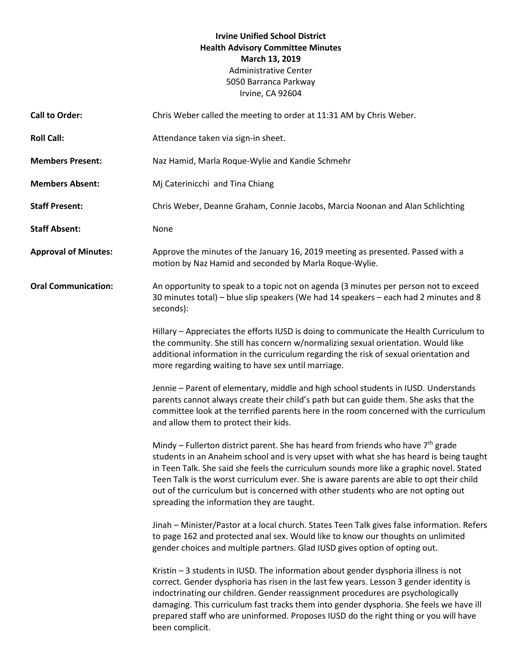# **Irvine Unified School District Health Advisory Committee Minutes March 13, 2019** Administrative Center 5050 Barranca Parkway Irvine, CA 92604

| <b>Call to Order:</b>       | Chris Weber called the meeting to order at 11:31 AM by Chris Weber.                                                                                                                                                                                                                                                                                                                                                                                                                                                |
|-----------------------------|--------------------------------------------------------------------------------------------------------------------------------------------------------------------------------------------------------------------------------------------------------------------------------------------------------------------------------------------------------------------------------------------------------------------------------------------------------------------------------------------------------------------|
| <b>Roll Call:</b>           | Attendance taken via sign-in sheet.                                                                                                                                                                                                                                                                                                                                                                                                                                                                                |
| <b>Members Present:</b>     | Naz Hamid, Marla Roque-Wylie and Kandie Schmehr                                                                                                                                                                                                                                                                                                                                                                                                                                                                    |
| <b>Members Absent:</b>      | Mj Caterinicchi and Tina Chiang                                                                                                                                                                                                                                                                                                                                                                                                                                                                                    |
| <b>Staff Present:</b>       | Chris Weber, Deanne Graham, Connie Jacobs, Marcia Noonan and Alan Schlichting                                                                                                                                                                                                                                                                                                                                                                                                                                      |
| <b>Staff Absent:</b>        | None                                                                                                                                                                                                                                                                                                                                                                                                                                                                                                               |
| <b>Approval of Minutes:</b> | Approve the minutes of the January 16, 2019 meeting as presented. Passed with a<br>motion by Naz Hamid and seconded by Marla Roque-Wylie.                                                                                                                                                                                                                                                                                                                                                                          |
| <b>Oral Communication:</b>  | An opportunity to speak to a topic not on agenda (3 minutes per person not to exceed<br>30 minutes total) - blue slip speakers (We had 14 speakers - each had 2 minutes and 8<br>seconds):                                                                                                                                                                                                                                                                                                                         |
|                             | Hillary - Appreciates the efforts IUSD is doing to communicate the Health Curriculum to<br>the community. She still has concern w/normalizing sexual orientation. Would like<br>additional information in the curriculum regarding the risk of sexual orientation and<br>more regarding waiting to have sex until marriage.                                                                                                                                                                                        |
|                             | Jennie – Parent of elementary, middle and high school students in IUSD. Understands<br>parents cannot always create their child's path but can guide them. She asks that the<br>committee look at the terrified parents here in the room concerned with the curriculum<br>and allow them to protect their kids.                                                                                                                                                                                                    |
|                             | Mindy - Fullerton district parent. She has heard from friends who have 7 <sup>th</sup> grade<br>students in an Anaheim school and is very upset with what she has heard is being taught<br>in Teen Talk. She said she feels the curriculum sounds more like a graphic novel. Stated<br>Teen Talk is the worst curriculum ever. She is aware parents are able to opt their child<br>out of the curriculum but is concerned with other students who are not opting out<br>spreading the information they are taught. |
|                             | Jinah - Minister/Pastor at a local church. States Teen Talk gives false information. Refers<br>to page 162 and protected anal sex. Would like to know our thoughts on unlimited<br>gender choices and multiple partners. Glad IUSD gives option of opting out.                                                                                                                                                                                                                                                     |
|                             | Kristin - 3 students in IUSD. The information about gender dysphoria illness is not<br>correct. Gender dysphoria has risen in the last few years. Lesson 3 gender identity is<br>indoctrinating our children. Gender reassignment procedures are psychologically<br>damaging. This curriculum fast tracks them into gender dysphoria. She feels we have ill<br>prepared staff who are uninformed. Proposes IUSD do the right thing or you will have<br>been complicit.                                             |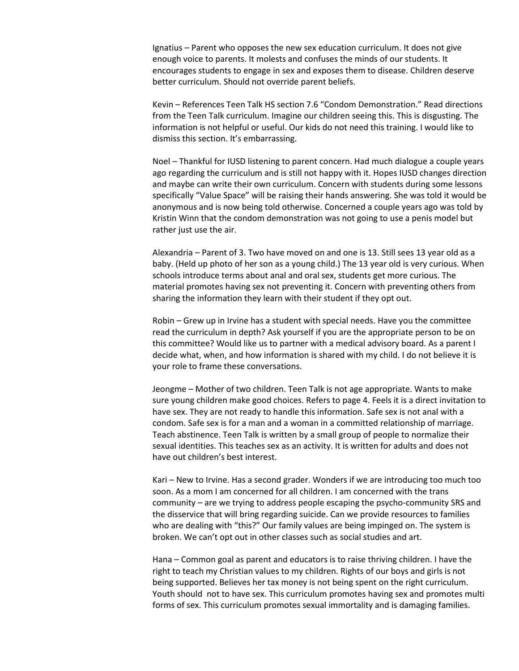Ignatius – Parent who opposes the new sex education curriculum. It does not give enough voice to parents. It molests and confuses the minds of our students. It encourages students to engage in sex and exposes them to disease. Children deserve better curriculum. Should not override parent beliefs.

Kevin – References Teen Talk HS section 7.6 "Condom Demonstration." Read directions from the Teen Talk curriculum. Imagine our children seeing this. This is disgusting. The information is not helpful or useful. Our kids do not need this training. I would like to dismiss this section. It's embarrassing.

Noel – Thankful for IUSD listening to parent concern. Had much dialogue a couple years ago regarding the curriculum and is still not happy with it. Hopes IUSD changes direction and maybe can write their own curriculum. Concern with students during some lessons specifically "Value Space" will be raising their hands answering. She was told it would be anonymous and is now being told otherwise. Concerned a couple years ago was told by Kristin Winn that the condom demonstration was not going to use a penis model but rather just use the air.

Alexandria – Parent of 3. Two have moved on and one is 13. Still sees 13 year old as a baby. (Held up photo of her son as a young child.) The 13 year old is very curious. When schools introduce terms about anal and oral sex, students get more curious. The material promotes having sex not preventing it. Concern with preventing others from sharing the information they learn with their student if they opt out.

Robin – Grew up in Irvine has a student with special needs. Have you the committee read the curriculum in depth? Ask yourself if you are the appropriate person to be on this committee? Would like us to partner with a medical advisory board. As a parent I decide what, when, and how information is shared with my child. I do not believe it is your role to frame these conversations.

Jeongme – Mother of two children. Teen Talk is not age appropriate. Wants to make sure young children make good choices. Refers to page 4. Feels it is a direct invitation to have sex. They are not ready to handle this information. Safe sex is not anal with a condom. Safe sex is for a man and a woman in a committed relationship of marriage. Teach abstinence. Teen Talk is written by a small group of people to normalize their sexual identities. This teaches sex as an activity. It is written for adults and does not have out children's best interest.

Kari – New to Irvine. Has a second grader. Wonders if we are introducing too much too soon. As a mom I am concerned for all children. I am concerned with the trans community – are we trying to address people escaping the psycho-community SRS and the disservice that will bring regarding suicide. Can we provide resources to families who are dealing with "this?" Our family values are being impinged on. The system is broken. We can't opt out in other classes such as social studies and art.

Hana – Common goal as parent and educators is to raise thriving children. I have the right to teach my Christian values to my children. Rights of our boys and girls is not being supported. Believes her tax money is not being spent on the right curriculum. Youth should not to have sex. This curriculum promotes having sex and promotes multi forms of sex. This curriculum promotes sexual immortality and is damaging families.